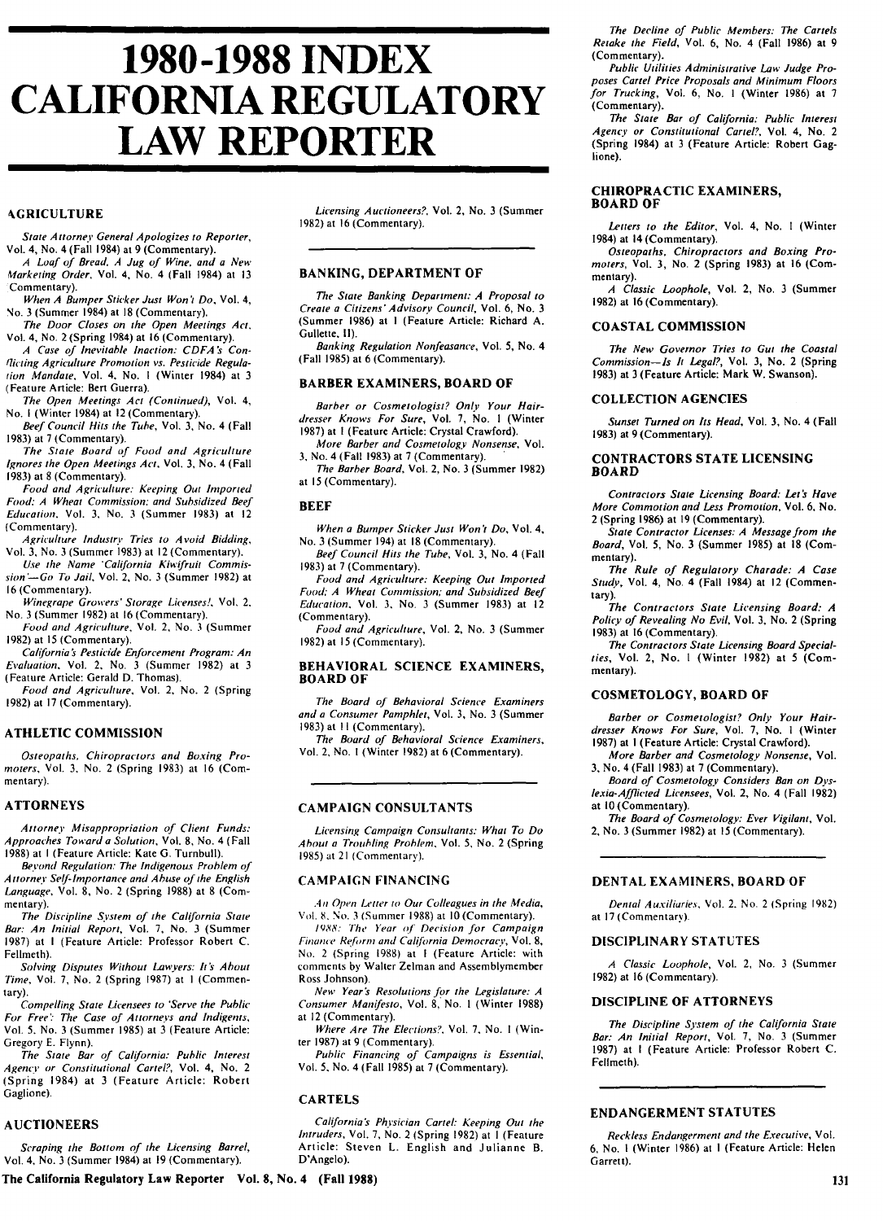# **1980-1988 INDEX CALIFORNIA REGULATORY LAW REPORTER**

# **AGRICULTURE**

State A *ttorney* General Apologizes to Reporter, Vol. 4, No. 4 (Fall 1984) at **9** (Commentary).

A Loaf of Bread. A Jug of Wine, and a New *Marketing* Order, Vol. 4, No. 4 (Fall 1984) at **13** Commentary).

*When* A Bumper Sticker Just Won't **Do,** Vol. 4, No. **3** (Summer 1984) at **18** (Commentary).

The Door Closes on the Open Meetings **Act,** Vol. 4, No. 2 (Spring 1984) at **16** (Commentary).

A Case of *Inevitable* Inaction: **CDFA** *S Conflicting* Agriculture Promotion vs. Pesticide Regula*tion* Mandate, Vol. 4, No. I (Winter 1984) at **3** (Feature Article: Bert Guerra).

The Open Meetings Act (Continued), Vol. 4, No. I (Winter 1984) at 12 (Commentary).

Beef Council Hits the Tube, Vol. **3,** No. 4 (Fall **1983)** at 7 (Commentary).

The State Board of Food and Agriculture Ignores the Open Meetings Act. Vol. **3,** No. 4 (Fall **1983)** at 8 (Commentary).

Food and Agriculture: Keeping Out Imported Food: A Wheat Commission: and Subsidized Beef Education. Vol. **3,** No. **3** (Summer **1983)** at 12 (Commentary).

Agriculture *Industry* Tries to Avoid Bidding, Vol. **3,** No. **3** (Summer **1983)** at 12 (Commentary).

Use the Name 'California Kiwifruit Commis*sion'-Go* To Jail, Vol. 2, No. **3** (Summer **1982)** at 16 (Commentary).

Winegrape Growers' *Storage* Licenses!. Vol, 2. No. **3** (Summer **1982)** at 16 (Commentary).

Food and Agriculture, Vol. 2, No. **3** (Summer **1982)** at **15** (Commentary).

*Calfibrnia 's* Pesticide Enforcement Program: An *Evaluation,* Vol. 2, No. **3** (Summer **1982)** at **3** (Feature Article: Gerald **D.** Thomas).

Food and Agriculture, Vol. 2, No. 2 (Spring **1982)** at **17** (Commentary).

# **ATHLETIC COMMISSION**

Osteopaths, Chiropractors and Boxing Promoters, Vol. 3, No. 2 (Spring **1983)** at **16** (Commentary).

## **ATTORNEYS**

Attorney Misappropriation of Client Funds: Approaches Toward a Solution, Vol. 8, No. 4 (Fall 1988) at I (Feature Article: Kate G. Turnbull).

*Beyond* Regulation: The *Indigenous* Problem of *Attorney* Self-InIportance and Abuse of the English Language, Vol. 8, No. 2 (Spring 1988) at 8 (Commentary).

The Discipline System of the California State Bar: An Initial Report, Vol. 7, No. 3 (Summer 1987) at I (Feature Article: Professor Robert C. Fellmeth).

Solving Disputes Without Lawyers: *its* About Time, Vol. 7, No. 2 (Spring 1987) at I (Commentary).

Compelling State Licensees to 'Serve the Public For Free': The Case of Attorneys and Indigents, Vol. 5. No. 3 (Summer 1985) at 3 (Feature Article: Gregory E. Flynn).

The State Bar of California: Public *Interest* Agency or Constitutional Cartel?, Vol. 4, No. 2 (Spring 1984) at 3 (Feature Article: Robert Gaglione).

## **AUCTIONEERS**

Scraping the Bottom of the Licensing Barrel, Vol. 4, No. 3 (Summer 1984) at 19 (Commentary).

Licensing Auctioneers?, Vol. 2, No. 3 (Summer 1982) at 16 (Commentary).

# **BANKING, DEPARTMENT OF**

The State Banking Department: A Proposal to Create a Citizens'Advisorv Council, Vol. 6, No. 3 (Summer 1986) at I (Feature Article: Richard A. Gullette. II).

Banking Regulation Nonfeasance, Vol. **5,** No. 4 (Fall 1985) at 6 (Commentary).

# **BARBER EXAMINERS, BOARD OF**

Barber or Cosmetologist? Only Your Hairdresser Knows For Sure, Vol. 7, No. **I** (Winter 1987) at I (Feature Article: Crystal Crawford).

More Barber and Cosmetology Nonsense, Vol. **3,** No. 4 (Fall 1983) at 7 (Commentary).

The Barber Board, Vol. 2, No. 3 (Summer 1982) at **15** (Commentary).

## **BEEF**

When a Bumper Sticker Just Won't Do, Vol. 4, No. 3 (Summer 194) at 18 (Commentary).

Beef Council Hits the Tube, Vol. 3, No. 4 (Fall 1983) at 7 (Commentary).

Food and Agriculture: Keeping Out *Imported* Food: A Wheat Commission; and Subsidized Beef Education, Vol. **3,** No. 3 (Summer **1983)** at 12 (Commentary).

Food and Agriculture, Vol. 2, No. 3 (Summer 1982) at 15 (Commentary).

#### BEHAVIORAL **SCIENCE** EXAMINERS, **BOARD OF**

The Board of Behavioral Science Examiners and a Consumer Pamphlet, Vol. **3,** No. 3 (Summer 1983) at 11 (Commentary).

The Board of Behavioral Science Examiners, Vol. 2, No. I (Winter 1982) at 6 (Commentary).

# **CAMPAIGN CONSULTANTS**

Licensing Campaign Consultants: What To Do About a Troubling Problem, Vol. 5, No. 2 (Spring 1985) at 21 (Commentary).

### **CAMPAIGN FINANCING**

*.4i* Open Letter to Our Colleagues in the Media, Vol. **8.** No. **3** (Summer **1988)** at **10** (Commentary).

*1988l: The* Year *of'* Decision for Campaign *Finame* Ref *,rti* and California Democracy, Vol. **8,** No. 2 (Spring **1988)** at I (Feature Article: with comments **by** Walter Zelman and Assemblymember Ross Johnson).

New Year *s* Resolutions for the Legislature: A Consumer Manifesto, Vol. **8,** No. **I** (Winter **1988)** at 12 (Commentary).

Where Are The Elections?, Vol. **7,** No. **I** (Winter **1987)** at **9** (Commentary).

Public Financing of Campaigns is Essential, Vol. **5,** No. 4 (Fall **1985)** at **7** (Commentary).

# **CARTELS**

*California's* Physician Cartel: Keeping Out the *Intruders,* Vol. 7, No. 2 (Spring 1982) at I (Feature Article: Steven L. English and Julianne B. D'Angelo).

**The California Regulatory Law Reporter Vol. 8, No. 4 (Fall 1988)**

The Decline of Public Members: The Cartels Retake the Field, Vol. 6, No. 4 (Fall **1986)** at 9 (Commentary).

Public Utilities Administrative Law Judge Proposes Cartel Price Proposals and Minimum Floors for Trucking, Vol. 6, No. **I** (Winter 1986) at 7 (Commentary).

The State Bar of California: Public *Interest* Agency or Constitutional Cartel?, Vol. 4, No. 2 (Spring 1984) at 3 (Feature Article: Robert Gaglione).

# **CHIROPRACTIC EXAMINERS, BOARD OF**

Letters to the Editor, Vol. 4, No. 1 (Winter 1984) at 14 (Commentary).

Osteopaths, Chiropractors and Boxing Promoters, Vol. 3, No. 2 (Spring **1983)** at **16** (Commentary).

A Classic Loophole, Vol. 2, No. **3** (Summer **1982)** at **16** (Commentary).

# **COASTAL COMMISSION**

The New Governor Tries to Gut the Coastal Commission-Is *It* Legal?, Vol. **3,** No. 2 (Spring **1983)** at **3** (Feature Article: Mark W. Swanson).

## **COLLECTION AGENCIES**

Sunset Turned on *Its* Head, Vol. **3,** No. 4 (Fall **1983)** at **9** (Commentary).

## **CONTRACTORS STATE LICENSING BOARD**

Contractors State Licensing Board: Let's Have More Commotion and Less Promotion, Vol. **6,** No. 2 (Spring **1986)** at **19** (Commentary).

State Contractor Licenses: A Message from the Board, Vol. 5, No. **3** (Summer **1985)** at **18** (Commentary).

The Rule of Regulatory Charade: A Case Study, Vol. 4, No. 4 (Fall 1984) at 12 (Commentary).

The Contractors State Licensing Board: *A* Policy of Revealing No Evil, Vol. 3, No. 2 (Spring 1983) at 16 (Commentary).

The Contractors State Licensing Board Specialties, Vol. 2, No. I (Winter 1982) at 5 (Commentary).

## **COSMETOLOGY, BOARD OF**

Barber or Cosmetologist? Only Your Hairdresser Knows For Sure, Vol. **7,** No. **I** (Winter **1987)** at **I** (Feature Article: Crystal Crawford).

More Barber and Cosmetology Nonsense, Vol. **3,** No. 4 (Fall **1983)** at **7** (Commentary).

Board of Cosmetology Considers Ban on **Dys**lexia-Afflicted Licensees, Vol. 2, No. 4 (Fall **1982)** at **10** (Commentary).

The Board of Cosmetology: Ever Vigilant, Vol. **2,** No. **3** (Summer **1982)** at **15** (Commentary).

#### **DENTAL EXAMINERS, BOARD OF**

Dental Auxiliaries, Vol. 2. No. 2 (Spring 1982) at 17(Commentary).

## DISCIPLINARY **STATUTES**

A Classic Loophole, Vol. 2, No. 3 (Summer 1982) at 16 (Commentary).

#### DISCIPLINE OF ATTORNEYS

The Discipline System of the California State Bar: An Initial Report, Vol. 7, No. 3 (Summer 1987) at I (Feature Article: Professor Robert C. Fellmeth).

# **ENDANGERMENT STATUTES**

Reckless Endangerment and the Executive, Vol. 6, No. I (Winter 1986) at I (Feature Article: Helen Garrett).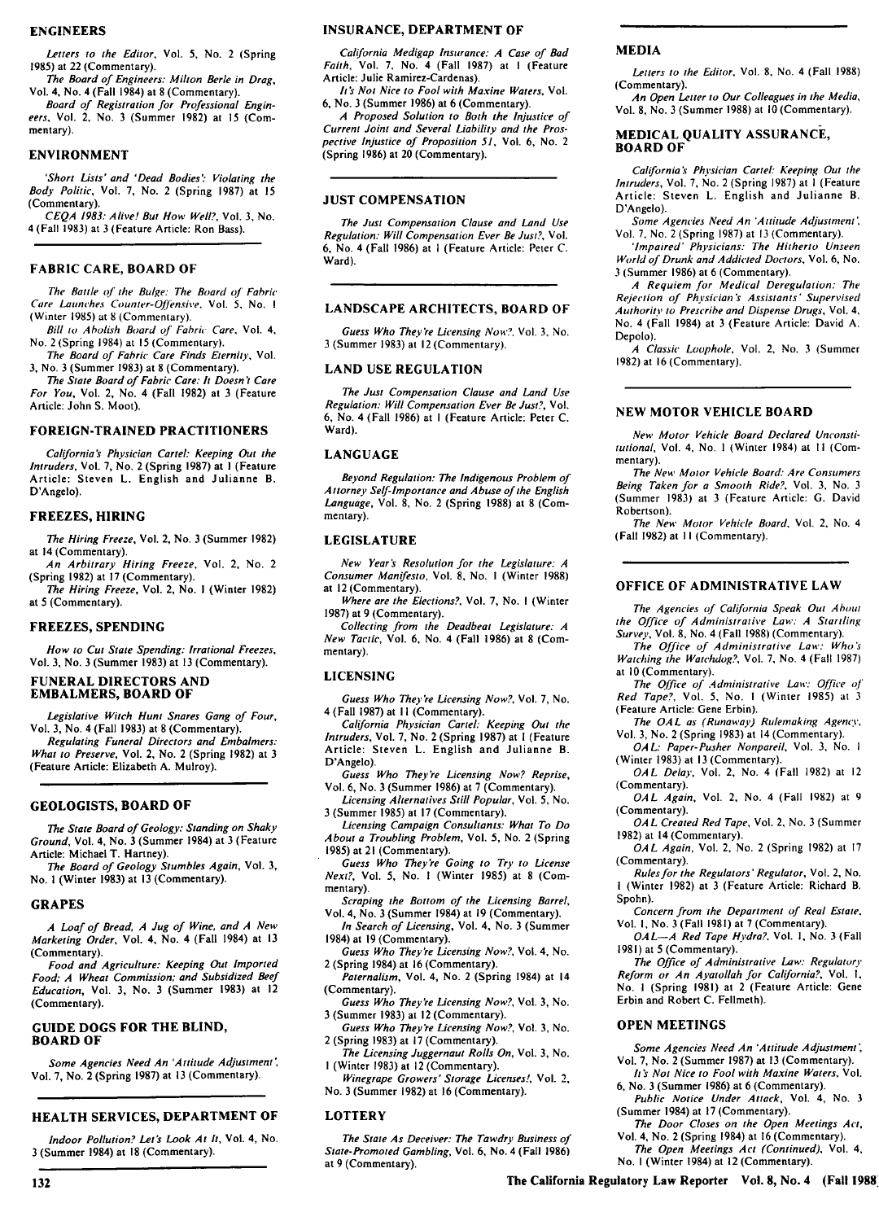#### **ENGINEERS**

Letters to the Editor, Vol. 5, No. 2 (Spring 1985) at 22 (Commentary).

The Board of Engineers: Milton Berle in Drag, Vol. 4, No. 4 (Fall 1984) at 8 (Commentary).

Board of Registration for Professional Engineers, Vol. 2, No. 3 (Summer 1982) at 15 (Commentary).

#### **ENVIRONMENT**

'Short Lists' and 'Dead Bodies: Violating the Body Politic, Vol. 7, No. 2 (Spring 1987) at 15 (Commentary).

CEQA 1983: Alive! But How Well?, Vol. 3, No. 4 (Fall 1983) at 3 (Feature Article: Ron Bass).

#### **FABRIC CARE, BOARD OF**

The *Battle* of the Bulge: The Board of Fabric *Core* Launches Counter-Of[finsive. Vol. **5,** No. I (Winter 1985) at 8 (Commentary).

Bill to Abolish Board of Fabric Care, Vol. 4, No. 2 (Spring 1984) at **15** (Commentary).

The Board of Fabric Care Finds Eternity, Vol. 3, No. 3 (Summer 1983) at 8 (Commentary).

The State Board of Fabric Care: It Doesn't Care For You, Vol. 2, No. 4 (Fall 1982) at 3 (Feature Article: John S. Moot).

#### **FOREIGN-TRAINED PRACTITIONERS**

*California's* Physician Cartel: Keeping Out the Intruders, Vol. 7, No. 2 (Spring 1987) at I (Feature Article: Steven L. English and Julianne B. D'Angelo).

#### **FREEZES, HIRING**

The Hiring Freeze, Vol. 2, No. 3 (Summer 1982) at 14 (Commentary).

An Arbitrary Hiring Freeze, Vol. 2, No. 2 (Spring 1982) at 17 (Commentary).

The Hiring Freeze, Vol. 2, No. I (Winter 1982) at 5 (Commentary).

#### **FREEZES, SPENDING**

How to Cut State Spending: Irrational Freezes, Vol. 3, No. 3 (Summer 1983) at 13 (Commentary).

# **FUNERAL DIRECTORS AND EMBALMERS, BOARD OF**

Legislative Witch Hunt Snares Gang of Four, Vol. 3, No. 4 (Fall 1983) at 8 (Commentary).

Regulating Funeral Directors and Embalmers: What to Preserve, Vol. 2, No. 2 (Spring 1982) at 3 (Feature Article: Elizabeth A. Mulroy).

# **GEOLOGISTS, BOARD OF**

*The* State Board of Geology: Standing on Shaky Ground, Vol. 4, No. 3 (Summer 1984) at 3 (Feature Article: Michael T. Hartney).

The Board of Geology Stumbles Again, Vol. 3, No. I (Winter 1983) at 13 (Commentary).

#### **GRAPES**

132

A Loaf of Bread, A Jug of Wine, and A New Marketing Order, Vol. 4, No. 4 (Fall 1984) at 13 (Commentary).

Food and Agriculture: Keeping Out Imported Food; A Wheat Commission; and Subsidized Beef Education, Vol. 3, No. 3 (Summer 1983) at 12 (Commentary).

## **GUIDE DOGS FOR THE BLIND, BOARD OF**

Some Agencies Need An 'Attitude Adjustment, Vol. 7, No. 2 (Spring 1987) at 13 (Commentary).

## **HEALTH SERVICES, DEPARTMENT OF**

Indoor Pollution? Let's *Look* At It, Vol. 4, No. 3 (Summer 1984) at 18 (Commentary).

#### **INSURANCE, DEPARTMENT OF**

California Medigap Insurance: A Case of Bad Faith, Vol. 7, No. 4 (Fall 1987) at I (Feature Article: Julie Ramirez-Cardenas).

*It's* Not Nice to Fool with Maxine Waters. Vol. 6, No. 3 (Summer 1986) at 6 (Commentary).

A Proposed Solution to Both the Injustice of Current Joint and Several Liability and the Prospective Injustice of Proposition 51, Vol. 6, No. 2 (Spring 1986) at 20 (Commentary).

# **JUST COMPENSATION**

The Just Compensation Clause and Land Use Regulation: Will Compensation Ever Be Just?, Vol. 6, No. 4 (Fall 1986) at I (Feature Article: Peter C. Ward).

#### **LANDSCAPE ARCHITECTS, BOARD** OF

Guess Who They're Licensing Now?. Vol. 3, No. 3 (Summer 1983) at 12 (Commentary).

#### **LAND USE REGULATION**

The Just Compensation Clause and Land Use Regulation: Will Compensation Ever Be Just?, Vol. 6, No. 4 (Fall 1986) at I (Feature Article: Peter C. Ward).

#### **LANGUAGE**

Beyond Regulation: The Indigenous Problem of Attorney Self-Importance and Abuse of the English Language, Vol. 8, No. 2 (Spring 1988) at 8 (Commentary).

#### **LEGISLATURE**

New Year's Resolution for the Legislature: A Consumer Manifesto, Vol. **8,** No. **I** (Winter 1988) at 12 (Commentary).

Where are the Elections?. Vol. 7, No. I (Winter 1987) at 9 (Commentary).

Collecting from the Deadbeat Legislature: A New Tactic, Vol. 6, No. 4 (Fall 1986) at 8 (Commentary).

#### **LICENSING**

Guess Who They're Licensing Now?, Vol. 7, No. 4 (Fall 1987) at 11 (Commentary).

California Physician Cartel: Keeping Out the Intruders, Vol. 7, No. 2 (Spring 1987) at I (Feature Article: Steven L. English and Julianne B. D'Angelo).

Guess Who They're Licensing Now? Reprise, Vol. 6, No. 3 (Summer 1986) at 7 (Commentary).

Licensing Alternatives Still Popular, Vol. 5, No. 3 (Summer 1985) at 17 (Commentary).

Licensing Campaign Consultants: What To Do About a Troubling Problem, Vol. 5, No. 2 (Spring 1985) at 21 (Commentary).

Guess Who They're Going to Try to License Next?, Vol. 5, No. I (Winter 1985) at 8 (Commentary).

Scraping the Bottom of the Licensing Barrel,

Vol. 4, No. 3 (Summer 1984) at 19 (Commentary). In Search of Licensing, Vol. 4, No. 3 (Summer 1984) at 19 (Commentary).

Guess Who They're Licensing Now?, Vol. 4, No. 2 (Spring 1984) at 16 (Commentary).

Paternalism, Vol. 4, No. 2 (Spring 1984) at 14 (Commentary).

Guess Who They're Licensing Now?, Vol. 3, No. 3 (Summer 1983) at 12 (Commentary).

Guess Who They're Licensing Now?, Vol. **3,** No. 2 (Spring 1983) at 17 (Commentary).

The Licensing Juggernaut Rolls On, Vol. 3, No. I (Winter 1983) at 12 (Commentary).

Winegrape Growers' Storage Licenses!, Vol. 2, No. 3 (Summer 1982) at 16 (Commentary).

# **LOTTERY**

The State As Deceiver: The Tawdry Business of State-Promoted Gambling, Vol. 6, No. 4 (Fall 1986) at 9 (Commentary).

## **MEDIA**

Letters to the Editor, Vol. **8,** No. 4 (Fall **1988)** (Commentary).

An Open Letter to Our Colleagues in the Media, Vol. 8, No. 3 (Summer 1988) at 10 (Commentary).

#### **MEDICAL QUALITY ASSURANCE, BOARD OF**

California's Physician Cartel: Keeping Out the Intruders, Vol. 7, No. 2 (Spring 1987) at I (Feature Article: Steven L. English and Julianne B. D'Angelo).

Some Agencies Need An 'Attitude Adjustment', Vol. 7, No. 2 (Spring 1987) at 13 (Commentary).

'Impaired' Physicians: The Hitherto Unseen World of Drunk and Addicted Doctors, Vol. 6, No. 3 (Summer 1986) at 6 (Commentary).

A Requiem for Medical Deregulation: The Rejection of Physician's Assistants' Supervised Authority to Prescribe and Dispense Drugs, Vol. 4, No. 4 (Fall 1984) at 3 (Feature Article: David A. Depolo).

A Classic Loophole, Vol. 2, No. 3 (Summer 1982) at 16 (Commentary).

#### **NEW MOTOR VEHICLE BOARD**

New Motor Vehicle Board Declared Unconstitutional, Vol. 4, No. **I** (Winter 1984) at **II** (Commentary).

The New Motor Vehicle Board: Are Consumers Being Taken for a Smooth Ride?. Vol. **3,** No. 3 (Summer 1983) at 3 (Feature Article: G. David Robertson).

The New Motor Vehicle Board, Vol. 2, No. 4 (Fall 1982) at 11 (Commentary).

## **OFFICE** OF ADMINISTRATIVE LAW

The Agencies of *California* Speak Out About the Office of Administrative Law: A Startling Survey, Vol. 8, No. 4 (Fall 1988) (Commentary).

The Office of Administrative Law: Who's Watching the Watchdog?, Vol. **7,** No. 4 (Fall 1987) at 10 (Commentary).

The Office of *Administrative* Law: Office of Red Tape?, Vol. 5, No. I (Winter 1985) at 3 (Feature Article: Gene Erbin).

The *OAL* as (Runaway) Rulemaking Agency, Vol. 3, No. 2 (Spring 1983) at 14 (Commentary).

*OAL:* Paper-Pusher Nonpareil, Vol. 3, No. I (Winter 1983) at 13 (Commentary).

OAL Delay, Vol. 2, No. 4 (Fall 1982) at 12 (Commentary).

*OAL* Again, Vol. 2, No. 4 (Fall 1982) at 9 (Commentary).

OAL Created Red Tape, Vol. 2, No. 3 (Summer 1982) at 14 (Commentary).

OAL Again, Vol. 2, No. 2 (Spring 1982) at 17 (Commentary).

Rules for the Regulators' Regulator, Vol. 2, No. I (Winter 1982) at 3 (Feature Article: Richard B. Spohn).

Concern from the Department of Real Estate. Vol. I, No. 3 (Fall 1981) at 7 (Commentary).

OAL-A Red Tape *Hydra?.* Vol. **I,** No. 3 (Fall 1981) at 5 (Commentary).

The Office of Administrative Law: Regulatory Reform or An Ayatollah for California?, Vol. **1,** No. I (Spring 1981) at 2 (Feature Article: Gene Erbin and Robert C. Fellmeth).

#### **OPEN MEETINGS**

Some Agencies Need An 'Attitude Adjustment', Vol. 7, No. 2 (Summer 1987) at 13 (Commentary).

*It's* Not Nice to Fool with Maxine Waters, Vol. 6, No. 3 (Summer 1986) at 6 (Commentary).

Public Notice Under Attack, Vol. 4, No. 3 (Summer 1984) at 17 (Commentary).

The Door Closes on the Open Meetings Act, Vol. 4, No. 2 (Spring 1984) at 16 (Commentary).

The Open Meetings Act (Continued), Vol. 4, No. I (Winter 1984) at 12 (Commentary).